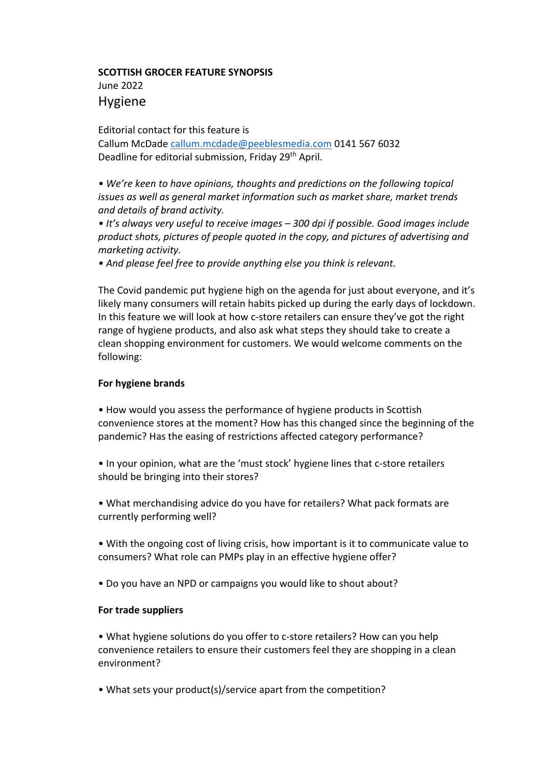## **SCOTTISH GROCER FEATURE SYNOPSIS** June 2022 Hygiene

Editorial contact for this feature is Callum McDade callum.mcdade@peeblesmedia.com 0141 567 6032 Deadline for editorial submission, Friday 29<sup>th</sup> April.

*• We're keen to have opinions, thoughts and predictions on the following topical issues as well as general market information such as market share, market trends and details of brand activity.*

*• It's always very useful to receive images – 300 dpi if possible. Good images include product shots, pictures of people quoted in the copy, and pictures of advertising and marketing activity.*

*• And please feel free to provide anything else you think is relevant.*

The Covid pandemic put hygiene high on the agenda for just about everyone, and it's likely many consumers will retain habits picked up during the early days of lockdown. In this feature we will look at how c-store retailers can ensure they've got the right range of hygiene products, and also ask what steps they should take to create a clean shopping environment for customers. We would welcome comments on the following:

## **For hygiene brands**

• How would you assess the performance of hygiene products in Scottish convenience stores at the moment? How has this changed since the beginning of the pandemic? Has the easing of restrictions affected category performance?

• In your opinion, what are the 'must stock' hygiene lines that c-store retailers should be bringing into their stores?

• What merchandising advice do you have for retailers? What pack formats are currently performing well?

• With the ongoing cost of living crisis, how important is it to communicate value to consumers? What role can PMPs play in an effective hygiene offer?

• Do you have an NPD or campaigns you would like to shout about?

## **For trade suppliers**

• What hygiene solutions do you offer to c-store retailers? How can you help convenience retailers to ensure their customers feel they are shopping in a clean environment?

• What sets your product(s)/service apart from the competition?